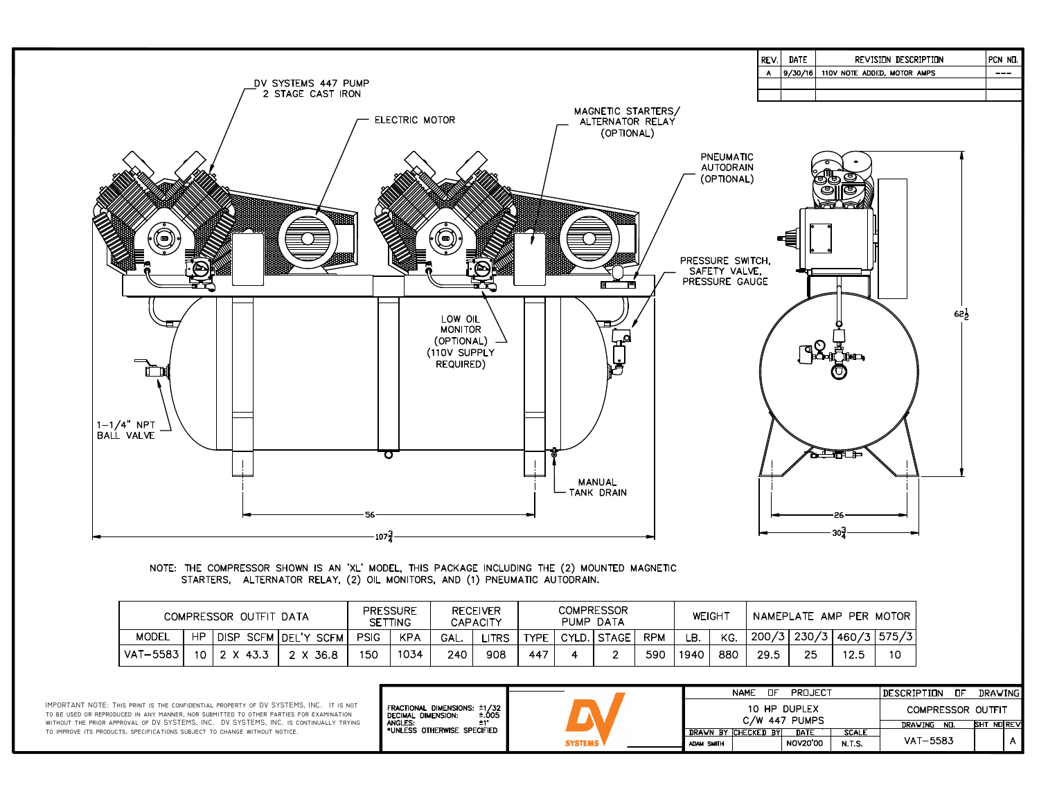

NOTE: THE COMPRESSOR SHOWN IS AN 'XL' MODEL, THIS PACKAGE INCLUDING THE (2) MOUNTED MAGNETIC<br>STARTERS, ALTERNATOR RELAY, (2) OIL MONITORS, AND (1) PNEUMATIC AUTODRAIN.

| COMPRESSOR OUTFIT DATA |    |             |  | <b>RECEIVER</b><br>PRESSURE<br><b>SETTING</b><br>CAPACITY |             | <b>COMPRESSOR</b><br>PUMP DATA |      |       | WEIGH <sup>7</sup> |  | NAMEPLATE AMP PER MOTOR |            |         |     |      |             |      |               |
|------------------------|----|-------------|--|-----------------------------------------------------------|-------------|--------------------------------|------|-------|--------------------|--|-------------------------|------------|---------|-----|------|-------------|------|---------------|
| <b>MODEL</b>           | HP | <b>DISP</b> |  | SCFM IDEL'Y<br><b>SCFM</b>                                | <b>PSIG</b> | <b>KPA</b>                     | GAL. | LITRS | <b>TYPE</b>        |  | I CYLD.I STAGE I        | <b>RPM</b> | ∣₽<br>◡ | KG  |      | 200/3 230/3 |      | 460/3   575/3 |
| VAT-5583               | 10 | ' 2 X 43.ວ  |  | 36.8                                                      | 150         | 1034                           | 240  | 908   | 447                |  |                         | 590        | 1940    | 880 | 29.5 | 25          | 12.5 | 10            |

IMPORTANT NOTE: THIS PRINT IS THE CONFIDENTIAL PROPERTY OF DV SYSTEMS, INC. IT IS TO BE USED OR REPRODUCED IN ANY MANNER, NOR SUBMITTED TO OTHER PARTIES FOR EXAMINATI WITHOUT THE PRIOR APPROVAL OF DV SYSTEMS, INC. DV SYSTEMS, INC. IS CONTINUALLY T to improve its products, specifications subject to change without notice.

|                      |                                                                     |                |                                 | <b>NAME</b><br>ПF | PROJECT  |              | <b>IDESCRIPTION</b> | ΠF |           | DRAWING I |
|----------------------|---------------------------------------------------------------------|----------------|---------------------------------|-------------------|----------|--------------|---------------------|----|-----------|-----------|
| S NOT<br><b>TION</b> | FRACTIONAL DIMENSIONS: ±1/32<br>DECIMAL DIMENSION: ±.005<br>ANGLES. |                | 10 HP DUPLEX<br>$C/W$ 447 PUMPS |                   |          |              | COMPRESSOR OUTFIT   |    |           |           |
| <b><i>FRYING</i></b> |                                                                     |                |                                 |                   |          |              | DRAWING NO.         |    | SHT NOREV |           |
|                      | *UNLESS OTHERWISE SPECIFIED                                         |                | DRAWN BY ICHECKED BYI           |                   | DATE     | <b>SCALE</b> |                     |    |           |           |
|                      |                                                                     | <b>SYSTEMS</b> | <b>ADAM SMITH</b>               |                   | NOV20'00 | N.T.S.       | VAT-5583            |    |           |           |